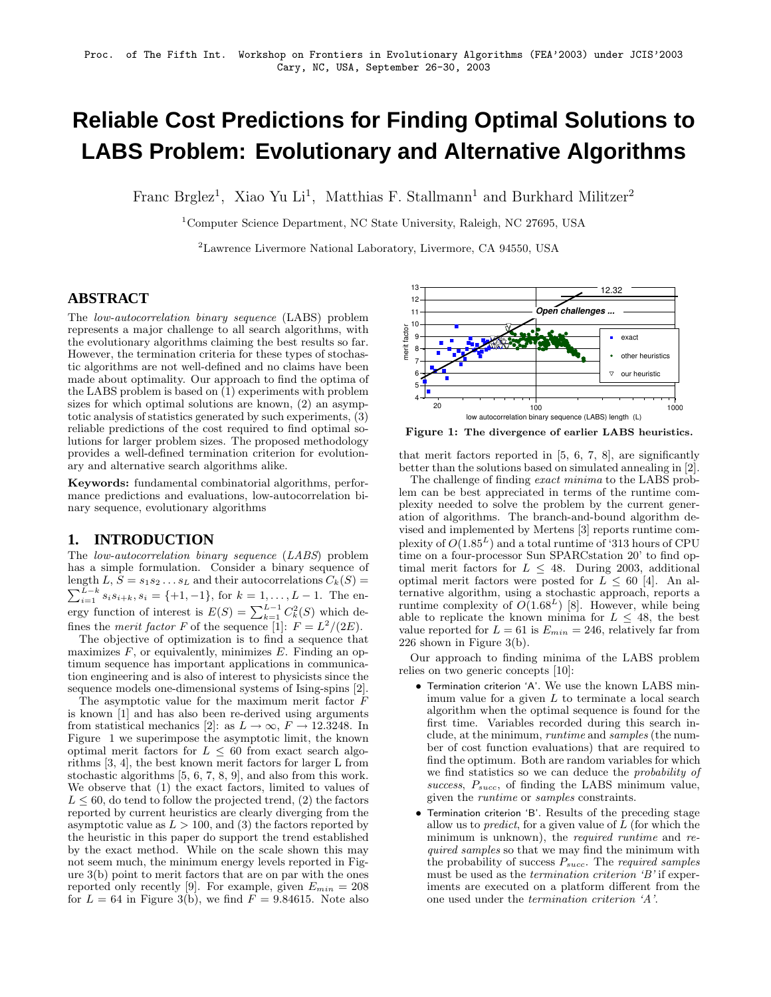# **Reliable Cost Predictions for Finding Optimal Solutions to LABS Problem: Evolutionary and Alternative Algorithms**

Franc Brglez<sup>1</sup>, Xiao Yu Li<sup>1</sup>, Matthias F. Stallmann<sup>1</sup> and Burkhard Militzer<sup>2</sup>

<sup>1</sup>Computer Science Department, NC State University, Raleigh, NC 27695, USA

<sup>2</sup>Lawrence Livermore National Laboratory, Livermore, CA 94550, USA

## **ABSTRACT**

The low-autocorrelation binary sequence (LABS) problem represents a major challenge to all search algorithms, with the evolutionary algorithms claiming the best results so far. However, the termination criteria for these types of stochastic algorithms are not well-defined and no claims have been made about optimality. Our approach to find the optima of the LABS problem is based on (1) experiments with problem sizes for which optimal solutions are known, (2) an asymptotic analysis of statistics generated by such experiments, (3) reliable predictions of the cost required to find optimal solutions for larger problem sizes. The proposed methodology provides a well-defined termination criterion for evolutionary and alternative search algorithms alike.

Keywords: fundamental combinatorial algorithms, performance predictions and evaluations, low-autocorrelation binary sequence, evolutionary algorithms

#### **1. INTRODUCTION**

The low-autocorrelation binary sequence (LABS) problem has a simple formulation. Consider a binary sequence of length  $L, S = s_1 s_2 \dots s_L$  and their autocorrelations  $C_k(S) =$  $\sum_{i=1}^{L-k} s_i s_{i+k}, s_i = \{+1, -1\}$ , for  $k = 1, ..., L - 1$ . The energy function of interest is  $E(S) = \sum_{k=1}^{L-1} C_k^2(S)$  which defines the *merit factor* F of the sequence [1]:  $F = L^2/(2E)$ .

The objective of optimization is to find a sequence that maximizes  $F$ , or equivalently, minimizes  $E$ . Finding an optimum sequence has important applications in communication engineering and is also of interest to physicists since the sequence models one-dimensional systems of Ising-spins [2].

The asymptotic value for the maximum merit factor F is known [1] and has also been re-derived using arguments from statistical mechanics [2]: as  $L \to \infty$ ,  $F \to 12.3248$ . In Figure 1 we superimpose the asymptotic limit, the known optimal merit factors for  $L \leq 60$  from exact search algorithms [3, 4], the best known merit factors for larger L from stochastic algorithms [5, 6, 7, 8, 9], and also from this work. We observe that (1) the exact factors, limited to values of  $L \leq 60$ , do tend to follow the projected trend, (2) the factors reported by current heuristics are clearly diverging from the asymptotic value as  $L > 100$ , and (3) the factors reported by the heuristic in this paper do support the trend established by the exact method. While on the scale shown this may not seem much, the minimum energy levels reported in Figure 3(b) point to merit factors that are on par with the ones reported only recently [9]. For example, given  $E_{min} = 208$ for  $L = 64$  in Figure 3(b), we find  $F = 9.84615$ . Note also



Figure 1: The divergence of earlier LABS heuristics.

that merit factors reported in [5, 6, 7, 8], are significantly better than the solutions based on simulated annealing in [2].

The challenge of finding *exact minima* to the LABS problem can be best appreciated in terms of the runtime complexity needed to solve the problem by the current generation of algorithms. The branch-and-bound algorithm devised and implemented by Mertens [3] reports runtime complexity of  $O(1.85^L)$  and a total runtime of '313 hours of CPU time on a four-processor Sun SPARCstation 20' to find optimal merit factors for  $L \leq 48$ . During 2003, additional optimal merit factors were posted for  $L \leq 60$  [4]. An alternative algorithm, using a stochastic approach, reports a runtime complexity of  $O(1.68^L)$  [8]. However, while being able to replicate the known minima for  $L \leq 48$ , the best value reported for  $L = 61$  is  $E_{min} = 246$ , relatively far from 226 shown in Figure 3(b).

Our approach to finding minima of the LABS problem relies on two generic concepts [10]:

- Termination criterion 'A'. We use the known LABS minimum value for a given  $L$  to terminate a local search algorithm when the optimal sequence is found for the first time. Variables recorded during this search include, at the minimum, runtime and samples (the number of cost function evaluations) that are required to find the optimum. Both are random variables for which we find statistics so we can deduce the probability of success,  $P_{succ}$ , of finding the LABS minimum value, given the runtime or samples constraints.
- Termination criterion 'B'. Results of the preceding stage allow us to *predict*, for a given value of  $L$  (for which the minimum is unknown), the *required runtime* and *re*quired samples so that we may find the minimum with the probability of success  $P_{succ}$ . The required samples must be used as the termination criterion 'B' if experiments are executed on a platform different from the one used under the termination criterion 'A'.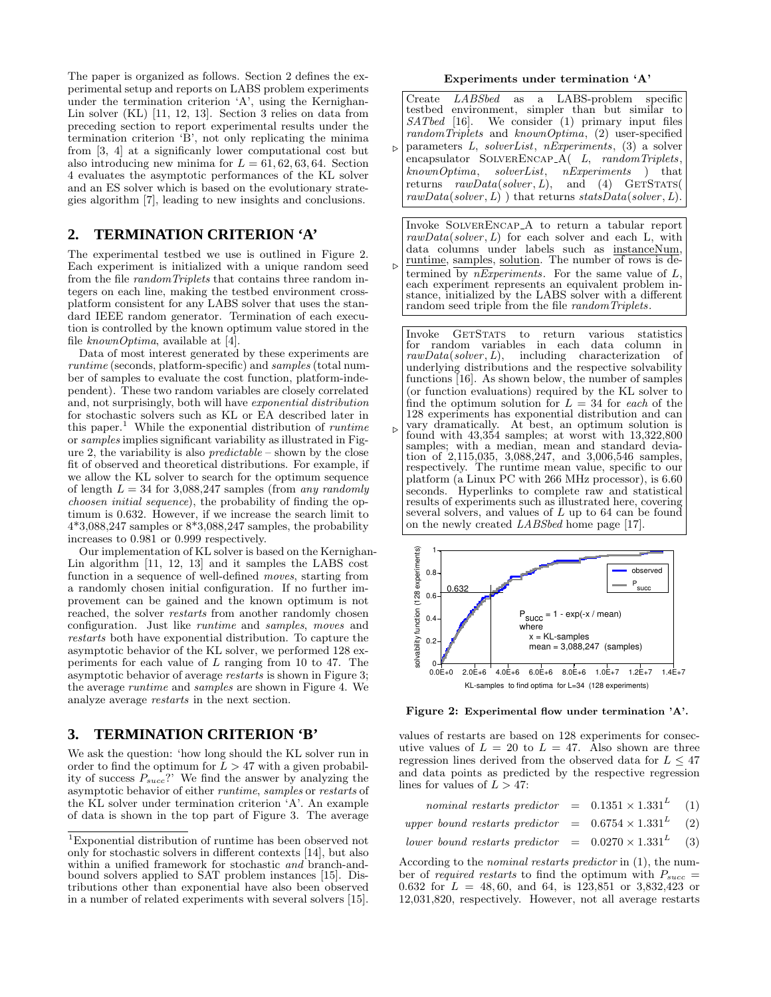The paper is organized as follows. Section 2 defines the experimental setup and reports on LABS problem experiments under the termination criterion 'A', using the Kernighan-Lin solver (KL) [11, 12, 13]. Section 3 relies on data from preceding section to report experimental results under the termination criterion 'B', not only replicating the minima from [3, 4] at a significanly lower computational cost but also introducing new minima for  $L = 61, 62, 63, 64$ . Section 4 evaluates the asymptotic performances of the KL solver and an ES solver which is based on the evolutionary strategies algorithm [7], leading to new insights and conclusions.

# **2. TERMINATION CRITERION 'A'**

The experimental testbed we use is outlined in Figure 2. Each experiment is initialized with a unique random seed from the file randomTriplets that contains three random integers on each line, making the testbed environment crossplatform consistent for any LABS solver that uses the standard IEEE random generator. Termination of each execution is controlled by the known optimum value stored in the file  $knownOptima$ , available at [4].

Data of most interest generated by these experiments are runtime (seconds, platform-specific) and samples (total number of samples to evaluate the cost function, platform-independent). These two random variables are closely correlated and, not surprisingly, both will have exponential distribution for stochastic solvers such as KL or EA described later in this paper.<sup>1</sup> While the exponential distribution of *runtime* or samples implies significant variability as illustrated in Figure 2, the variability is also  $predictable -$  shown by the close fit of observed and theoretical distributions. For example, if we allow the KL solver to search for the optimum sequence of length  $L = 34$  for 3,088,247 samples (from any randomly choosen initial sequence), the probability of finding the optimum is 0.632. However, if we increase the search limit to  $4*3,088,247$  samples or  $8*3,088,247$  samples, the probability increases to 0.981 or 0.999 respectively.

Our implementation of KL solver is based on the Kernighan-Lin algorithm [11, 12, 13] and it samples the LABS cost function in a sequence of well-defined moves, starting from a randomly chosen initial configuration. If no further improvement can be gained and the known optimum is not reached, the solver restarts from another randomly chosen configuration. Just like runtime and samples, moves and restarts both have exponential distribution. To capture the asymptotic behavior of the KL solver, we performed 128 experiments for each value of  $L$  ranging from 10 to 47. The asymptotic behavior of average restarts is shown in Figure 3; the average runtime and samples are shown in Figure 4. We analyze average restarts in the next section.

### **3. TERMINATION CRITERION 'B'**

We ask the question: 'how long should the KL solver run in order to find the optimum for  $L > 47$  with a given probability of success  $P_{succ}$ ?' We find the answer by analyzing the asymptotic behavior of either runtime, samples or restarts of the KL solver under termination criterion 'A'. An example of data is shown in the top part of Figure 3. The average

#### Experiments under termination 'A'

 $\triangleright$ Create LABSbed as a LABS-problem specific testbed environment, simpler than but similar to  $SATbed$  [16]. We consider (1) primary input files We consider  $(1)$  primary input files randomTriplets and knownOptima, (2) user-specified parameters L, solverList, nExperiments, (3) a solver encapsulator SOLVERENCAP\_A( L, randomTriplets. knownOptima, solverList, nExperiments ) that returns  $rawData(solver, L)$ , and (4) GETSTATS(  $rawData(solver, L)$ ) that returns  $statsData(solver, L)$ .

 $\triangleright$ Invoke SolverEncap A to return a tabular report  $rawData(solver, L)$  for each solver and each L, with data columns under labels such as instanceNum, runtime, samples, solution. The number of rows is determined by  $n\overline{Experiments}$ . For the same value of L, each experiment represents an equivalent problem instance, initialized by the LABS solver with a different random seed triple from the file randomTriplets.

Invoke GETSTATS to return various statistics<br>for random variables in each data column in for random variables in each data column in  $rawData(solver, L)$ , including characterization of  $rawData(solver, L)$ , including characterization underlying distributions and the respective solvability functions [16]. As shown below, the number of samples (or function evaluations) required by the KL solver to find the optimum solution for  $L = 34$  for each of the 128 experiments has exponential distribution and can vary dramatically. At best, an optimum solution is found with 43,354 samples; at worst with 13,322,800 samples; with a median, mean and standard deviation of 2,115,035, 3,088,247, and 3,006,546 samples, respectively. The runtime mean value, specific to our platform (a Linux PC with 266 MHz processor), is 6.60 seconds. Hyperlinks to complete raw and statistical results of experiments such as illustrated here, covering several solvers, and values of  $L$  up to 64 can be found on the newly created LABSbed home page [17].

 $\triangleright$ 



Figure 2: Experimental flow under termination 'A'.

values of restarts are based on 128 experiments for consecutive values of  $L = 20$  to  $L = 47$ . Also shown are three regression lines derived from the observed data for  $L \leq 47$ and data points as predicted by the respective regression lines for values of  $L > 47$ :

| nominal restarts predictor = $0.1351 \times 1.331^{L}$ (1)     |  |  |
|----------------------------------------------------------------|--|--|
| upper bound restarts predictor = $0.6754 \times 1.331^{L}$ (2) |  |  |
| lower bound restarts predictor = $0.0270 \times 1.331^{L}$ (3) |  |  |

According to the nominal restarts predictor in (1), the number of required restarts to find the optimum with  $P_{succ}$ 0.632 for  $L = 48, 60$ , and 64, is 123,851 or 3,832,423 or 12,031,820, respectively. However, not all average restarts

<sup>1</sup>Exponential distribution of runtime has been observed not only for stochastic solvers in different contexts [14], but also within a unified framework for stochastic and branch-andbound solvers applied to SAT problem instances [15]. Distributions other than exponential have also been observed in a number of related experiments with several solvers [15].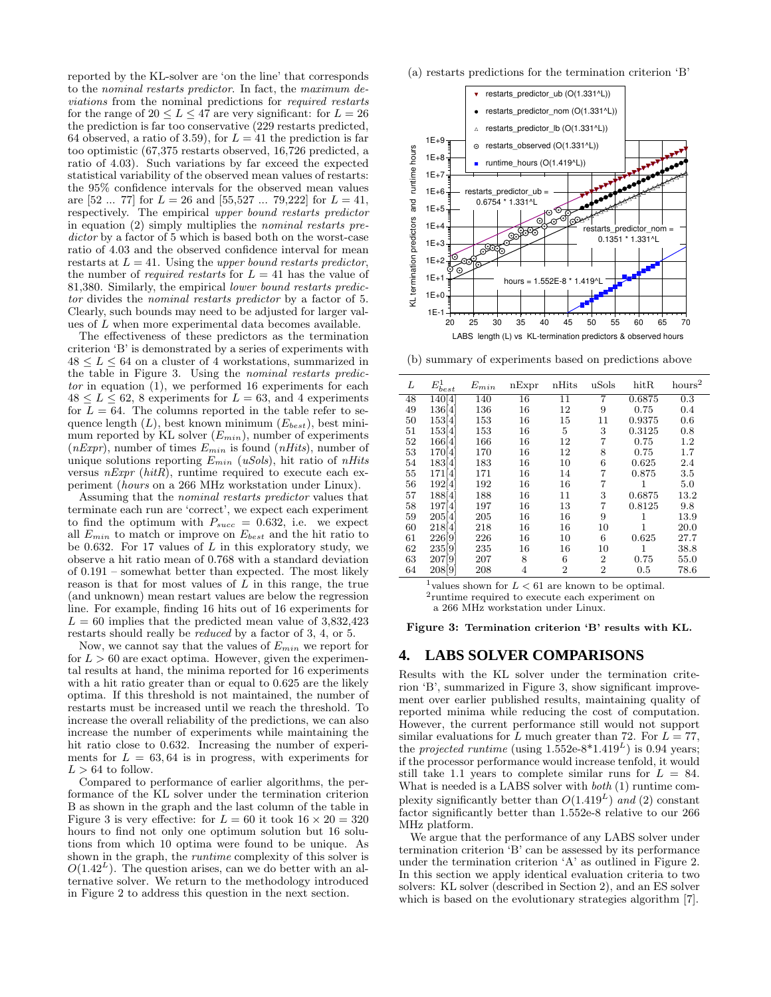reported by the KL-solver are 'on the line' that corresponds to the nominal restarts predictor. In fact, the maximum deviations from the nominal predictions for required restarts for the range of  $20 \leq L \leq 47$  are very significant: for  $L = 26$ the prediction is far too conservative (229 restarts predicted, 64 observed, a ratio of 3.59), for  $L = 41$  the prediction is far too optimistic (67,375 restarts observed, 16,726 predicted, a ratio of 4.03). Such variations by far exceed the expected statistical variability of the observed mean values of restarts: the 95% confidence intervals for the observed mean values are  $[52 \dots 77]$  for  $L = 26$  and  $[55, 527 \dots 79, 222]$  for  $L = 41$ , respectively. The empirical upper bound restarts predictor in equation (2) simply multiplies the nominal restarts predictor by a factor of 5 which is based both on the worst-case ratio of 4.03 and the observed confidence interval for mean restarts at  $L = 41$ . Using the upper bound restarts predictor, the number of *required restarts* for  $L = 41$  has the value of 81,380. Similarly, the empirical lower bound restarts predictor divides the nominal restarts predictor by a factor of 5. Clearly, such bounds may need to be adjusted for larger values of L when more experimental data becomes available.

The effectiveness of these predictors as the termination criterion 'B' is demonstrated by a series of experiments with  $48 \leq L \leq 64$  on a cluster of 4 workstations, summarized in the table in Figure 3. Using the nominal restarts predictor in equation (1), we performed 16 experiments for each  $48 \leq L \leq 62$ , 8 experiments for  $L = 63$ , and 4 experiments for  $L = 64$ . The columns reported in the table refer to sequence length  $(L)$ , best known minimum  $(E_{best})$ , best minimum reported by KL solver  $(E_{min})$ , number of experiments  $(nExpr)$ , number of times  $E_{min}$  is found  $(nHits)$ , number of unique solutions reporting  $E_{min}$  (uSols), hit ratio of nHits versus  $nExpr$  (hitR), runtime required to execute each experiment (hours on a 266 MHz workstation under Linux).

Assuming that the nominal restarts predictor values that terminate each run are 'correct', we expect each experiment to find the optimum with  $P_{succ} = 0.632$ , i.e. we expect all  $E_{min}$  to match or improve on  $E_{best}$  and the hit ratio to be 0.632. For 17 values of  $L$  in this exploratory study, we observe a hit ratio mean of 0.768 with a standard deviation of 0.191 – somewhat better than expected. The most likely reason is that for most values of  $L$  in this range, the true (and unknown) mean restart values are below the regression line. For example, finding 16 hits out of 16 experiments for  $L = 60$  implies that the predicted mean value of  $3,832,423$ restarts should really be reduced by a factor of 3, 4, or 5.

Now, we cannot say that the values of  $E_{min}$  we report for for  $L > 60$  are exact optima. However, given the experimental results at hand, the minima reported for 16 experiments with a hit ratio greater than or equal to  $0.625$  are the likely optima. If this threshold is not maintained, the number of restarts must be increased until we reach the threshold. To increase the overall reliability of the predictions, we can also increase the number of experiments while maintaining the hit ratio close to 0.632. Increasing the number of experiments for  $L = 63, 64$  is in progress, with experiments for  $L > 64$  to follow.

Compared to performance of earlier algorithms, the performance of the KL solver under the termination criterion B as shown in the graph and the last column of the table in Figure 3 is very effective: for  $L = 60$  it took  $16 \times 20 = 320$ hours to find not only one optimum solution but 16 solutions from which 10 optima were found to be unique. As shown in the graph, the *runtime* complexity of this solver is  $O(1.42^L)$ . The question arises, can we do better with an alternative solver. We return to the methodology introduced in Figure 2 to address this question in the next section.

(a) restarts predictions for the termination criterion 'B'



(b) summary of experiments based on predictions above

| L  | $E^1_{\underline{best}}$ | $E_{min}$ | nExpr | nHits          | uSols          | hitR   | $\mathrm{hours}^2$ |
|----|--------------------------|-----------|-------|----------------|----------------|--------|--------------------|
| 48 | 140 4                    | 140       | 16    | 11             |                | 0.6875 | 0.3                |
| 49 | 136[4]                   | 136       | 16    | 12             | 9              | 0.75   | 0.4                |
| 50 | 153[4]                   | 153       | 16    | 15             | 11             | 0.9375 | 0.6                |
| 51 | 153 <sup>[4]</sup>       | 153       | 16    | 5              | 3              | 0.3125 | 0.8                |
| 52 | 166[4]                   | 166       | 16    | 12             | 7              | 0.75   | 1.2                |
| 53 | 170[4]                   | 170       | 16    | 12             | 8              | 0.75   | 1.7                |
| 54 | 183[4]                   | 183       | 16    | 10             | 6              | 0.625  | 2.4                |
| 55 | 171[4]                   | 171       | 16    | 14             | 7              | 0.875  | 3.5                |
| 56 | 192[4]                   | 192       | 16    | 16             | 7              |        | 5.0                |
| 57 | 188[4]                   | 188       | 16    | 11             | 3              | 0.6875 | 13.2               |
| 58 | 197[4]                   | 197       | 16    | 13             | 7              | 0.8125 | 9.8                |
| 59 | 205[4]                   | 205       | 16    | 16             | 9              |        | 13.9               |
| 60 | 218[4]                   | 218       | 16    | 16             | 10             | 1      | 20.0               |
| 61 | 226[9]                   | 226       | 16    | 10             | 6              | 0.625  | 27.7               |
| 62 | 235[9]                   | 235       | 16    | 16             | 10             | 1      | 38.8               |
| 63 | 207 9                    | 207       | 8     | 6              | $\overline{2}$ | 0.75   | 55.0               |
| 64 | 208[9]                   | 208       | 4     | $\overline{2}$ | 2              | 0.5    | 78.6               |

<sup>1</sup>values shown for  $L < 61$  are known to be optimal.

2 runtime required to execute each experiment on

a 266 MHz workstation under Linux.

Figure 3: Termination criterion 'B' results with KL.

#### **4. LABS SOLVER COMPARISONS**

Results with the KL solver under the termination criterion 'B', summarized in Figure 3, show significant improvement over earlier published results, maintaining quality of reported minima while reducing the cost of computation. However, the current performance still would not support similar evaluations for L much greater than 72. For  $L = 77$ , the *projected runtime* (using  $1.552e-8*1.419<sup>L</sup>$ ) is 0.94 years; if the processor performance would increase tenfold, it would still take 1.1 years to complete similar runs for  $L = 84$ . What is needed is a LABS solver with *both* (1) runtime complexity significantly better than  $O(1.419<sup>L</sup>)$  and (2) constant factor significantly better than 1.552e-8 relative to our 266 MHz platform.

We argue that the performance of any LABS solver under termination criterion 'B' can be assessed by its performance under the termination criterion 'A' as outlined in Figure 2. In this section we apply identical evaluation criteria to two solvers: KL solver (described in Section 2), and an ES solver which is based on the evolutionary strategies algorithm [7].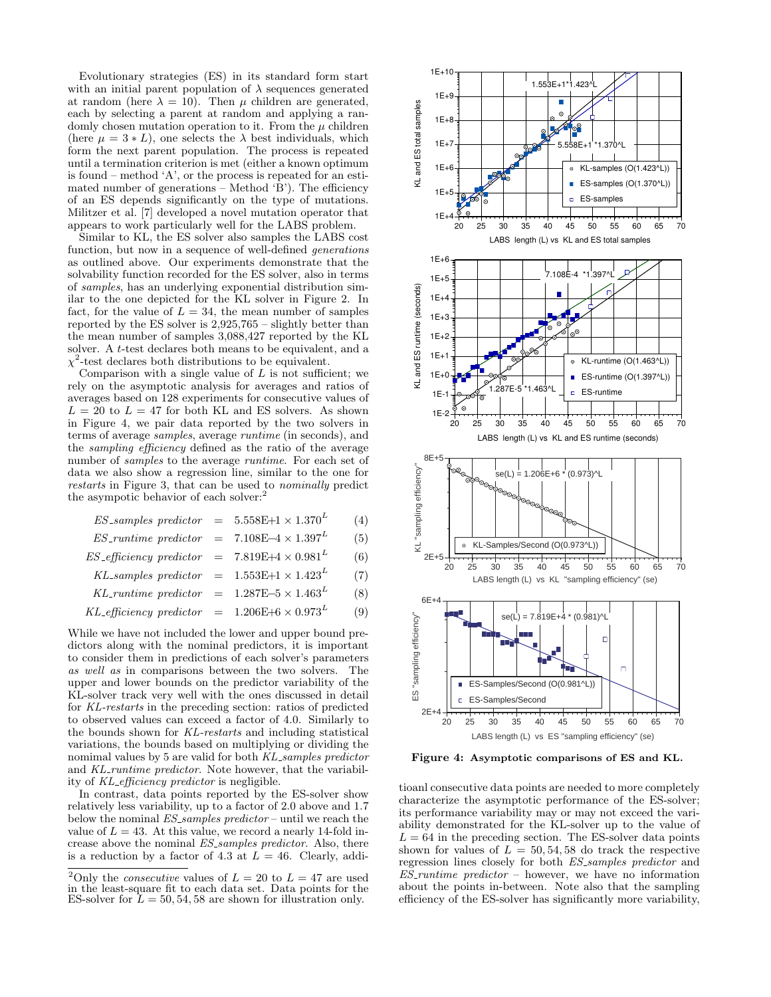Evolutionary strategies (ES) in its standard form start with an initial parent population of  $\lambda$  sequences generated at random (here  $\lambda = 10$ ). Then  $\mu$  children are generated, each by selecting a parent at random and applying a randomly chosen mutation operation to it. From the  $\mu$  children (here  $\mu = 3 * L$ ), one selects the  $\lambda$  best individuals, which form the next parent population. The process is repeated until a termination criterion is met (either a known optimum is found – method  $A'$ , or the process is repeated for an estimated number of generations – Method 'B'). The efficiency of an ES depends significantly on the type of mutations. Militzer et al. [7] developed a novel mutation operator that appears to work particularly well for the LABS problem.

Similar to KL, the ES solver also samples the LABS cost function, but now in a sequence of well-defined generations as outlined above. Our experiments demonstrate that the solvability function recorded for the ES solver, also in terms of samples, has an underlying exponential distribution similar to the one depicted for the KL solver in Figure 2. In fact, for the value of  $L = 34$ , the mean number of samples reported by the ES solver is 2,925,765 – slightly better than the mean number of samples 3,088,427 reported by the KL solver. A *t*-test declares both means to be equivalent, and a  $\chi^2$ -test declares both distributions to be equivalent.

Comparison with a single value of  $L$  is not sufficient; we rely on the asymptotic analysis for averages and ratios of averages based on 128 experiments for consecutive values of  $L = 20$  to  $L = 47$  for both KL and ES solvers. As shown in Figure 4, we pair data reported by the two solvers in terms of average samples, average runtime (in seconds), and the sampling efficiency defined as the ratio of the average number of samples to the average runtime. For each set of data we also show a regression line, similar to the one for restarts in Figure 3, that can be used to nominally predict the asympotic behavior of each solver:<sup>2</sup>

| $ES\_samples\ predictor = 5.558E+1 \times 1.370^L$             |  | (4) |
|----------------------------------------------------------------|--|-----|
| ES_runtime predictor = $7.108E-4 \times 1.397^{L}$             |  | (5) |
| $ES_{\text{efficiency predictor}} = 7.819E + 4 \times 0.981^L$ |  | (6) |
| KL-samples predictor = $1.553E+1 \times 1.423^L$               |  | (7) |
| KL-runtime predictor = $1.287E-5 \times 1.463^{L}$             |  | (8) |

$$
KL\text{-efficiency predictor} = 1.206E + 6 \times 0.973^{L} \tag{9}
$$

While we have not included the lower and upper bound predictors along with the nominal predictors, it is important to consider them in predictions of each solver's parameters as well as in comparisons between the two solvers. The upper and lower bounds on the predictor variability of the KL-solver track very well with the ones discussed in detail for KL-restarts in the preceding section: ratios of predicted to observed values can exceed a factor of 4.0. Similarly to the bounds shown for KL-restarts and including statistical variations, the bounds based on multiplying or dividing the nomimal values by 5 are valid for both KL samples predictor and KL-runtime predictor. Note however, that the variability of KL efficiency predictor is negligible.

In contrast, data points reported by the ES-solver show relatively less variability, up to a factor of 2.0 above and 1.7 below the nominal  $ES\_samples\ predictor$  – until we reach the value of  $L = 43$ . At this value, we record a nearly 14-fold increase above the nominal ES samples predictor. Also, there is a reduction by a factor of 4.3 at  $L = 46$ . Clearly, addi-



Figure 4: Asymptotic comparisons of ES and KL.

tioanl consecutive data points are needed to more completely characterize the asymptotic performance of the ES-solver; its performance variability may or may not exceed the variability demonstrated for the KL-solver up to the value of  $L = 64$  in the preceding section. The ES-solver data points shown for values of  $L = 50, 54, 58$  do track the respective regression lines closely for both ES samples predictor and  $E\overline{S}\_$ runtime predictor – however, we have no information about the points in-between. Note also that the sampling efficiency of the ES-solver has significantly more variability,

<sup>&</sup>lt;sup>2</sup>Only the *consecutive* values of  $L = 20$  to  $L = 47$  are used in the least-square fit to each data set. Data points for the ES-solver for  $\overline{L} = 50, 54, 58$  are shown for illustration only.